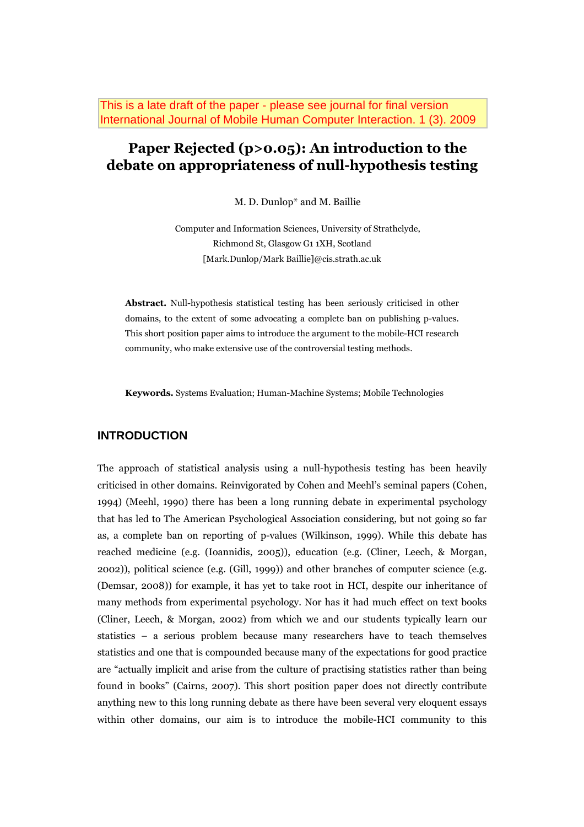# **Paper Rejected (p>0.05): An introduction to the debate on appropriateness of nullhypothesis testing**

M. D. Dunlop\* and M. Baillie

 Computer and Information Sciences, University of Strathclyde, Richmond St, Glasgow G1 1XH, Scotland [Mark.Dunlop/Mark Baillie]@cis.strath.ac.uk

 **Abstract.** Nullhypothesis statistical testing has been seriously criticised in other domains, to the extent of some advocating a complete ban on publishing p-values. This short position paper aims to introduce the argument to the mobile-HCI research community, who make extensive use of the controversial testing methods.

**Keywords.** Systems Evaluation; Human-Machine Systems; Mobile Technologies

#### **INTRODUCTION**

 The approach of statistical analysis using a nullhypothesis testing has been heavily criticised in other domains. Reinvigorated by Cohen and Meehl's seminal papers (Cohen, 1994) (Meehl, 1990) there has been a long running debate in experimental psychology that has led to The American Psychological Association considering, but not going so far as, a complete ban on reporting of p-values (Wilkinson, 1999). While this debate has reached medicine (e.g. (Ioannidis, 2005)), education (e.g. (Cliner, Leech, & Morgan, 2002)), political science (e.g. (Gill, 1999)) and other branches of computer science (e.g. (Demsar, 2008)) for example, it has yet to take root in HCI, despite our inheritance of many methods from experimental psychology. Nor has it had much effect on text books (Cliner, Leech, & Morgan, 2002) from which we and our students typically learn our statistics – a serious problem because many researchers have to teach themselves statistics and one that is compounded because many of the expectations for good practice are "actually implicit and arise from the culture of practising statistics rather than being found in books" (Cairns, 2007). This short position paper does not directly contribute anything new to this long running debate as there have been several very eloquent essays within other domains, our aim is to introduce the mobile-HCI community to this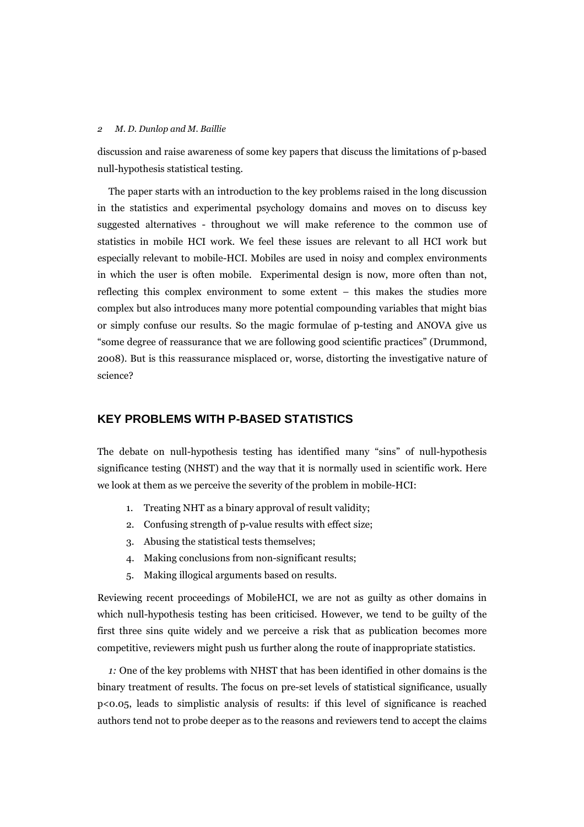discussion and raise awareness of some key papers that discuss the limitations of pbased null-hypothesis statistical testing.

 The paper starts with an introduction to the key problems raised in the long discussion in the statistics and experimental psychology domains and moves on to discuss key suggested alternatives throughout we will make reference to the common use of statistics in mobile HCI work. We feel these issues are relevant to all HCI work but especially relevant to mobile-HCI. Mobiles are used in noisy and complex environments in which the user is often mobile. Experimental design is now, more often than not, reflecting this complex environment to some extent – this makes the studies more complex but also introduces many more potential compounding variables that might bias or simply confuse our results. So the magic formulae of p-testing and ANOVA give us "some degree of reassurance that we are following good scientific practices" (Drummond, 2008). But is this reassurance misplaced or, worse, distorting the investigative nature of science?

#### **KEY PROBLEMS WITH P-BASED STATISTICS**

The debate on null-hypothesis testing has identified many "sins" of null-hypothesis significance testing (NHST) and the way that it is normally used in scientific work. Here we look at them as we perceive the severity of the problem in mobile-HCI:

- 1. Treating NHT as a binary approval of result validity;
- 2. Confusing strength of p-value results with effect size;
- 3. Abusing the statistical tests themselves;
- 4. Making conclusions from non-significant results;
- 5. Making illogical arguments based on results.

 Reviewing recent proceedings of MobileHCI, we are not as guilty as other domains in which null-hypothesis testing has been criticised. However, we tend to be guilty of the first three sins quite widely and we perceive a risk that as publication becomes more competitive, reviewers might push us further along the route of inappropriate statistics.

 *1:* One of the key problems with NHST that has been identified in other domains is the binary treatment of results. The focus on preset levels of statistical significance, usually p<0.05, leads to simplistic analysis of results: if this level of significance is reached authors tend not to probe deeper as to the reasons and reviewers tend to accept the claims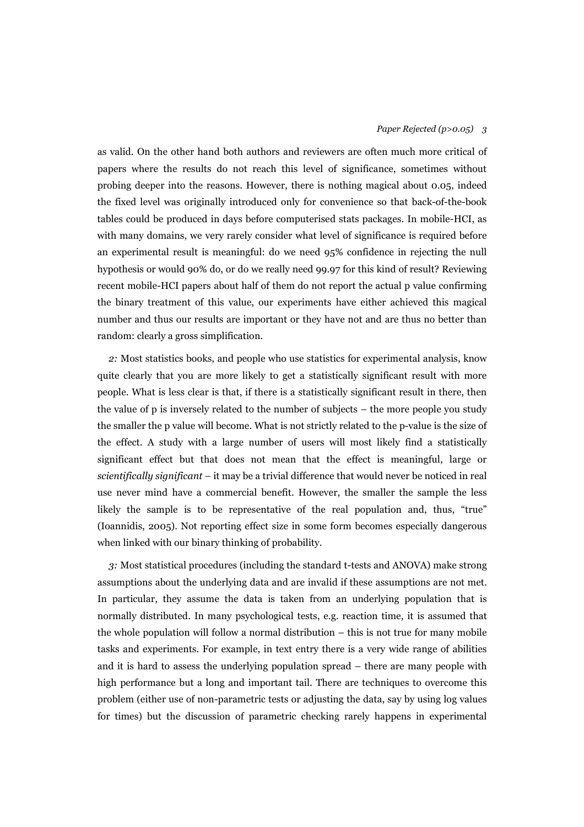as valid. On the other hand both authors and reviewers are often much more critical of papers where the results do not reach this level of significance, sometimes without probing deeper into the reasons. However, there is nothing magical about 0.05, indeed the fixed level was originally introduced only for convenience so that back-of-the-book tables could be produced in days before computerised stats packages. In mobile-HCI, as with many domains, we very rarely consider what level of significance is required before an experimental result is meaningful: do we need 95% confidence in rejecting the null hypothesis or would 90% do, or do we really need 99.97 for this kind of result? Reviewing recent mobile-HCI papers about half of them do not report the actual p value confirming the binary treatment of this value, our experiments have either achieved this magical number and thus our results are important or they have not and are thus no better than random: clearly a gross simplification.

 *2:* Most statistics books, and people who use statistics for experimental analysis, know quite clearly that you are more likely to get a statistically significant result with more people. What is less clear is that, if there is a statistically significant result in there, then the value of p is inversely related to the number of subjects – the more people you study the smaller the p value will become. What is not strictly related to the p-value is the size of the effect. A study with a large number of users will most likely find a statistically significant effect but that does not mean that the effect is meaningful, large or  *scientifically significant* – it may be a trivial difference that would never be noticed in real use never mind have a commercial benefit. However, the smaller the sample the less likely the sample is to be representative of the real population and, thus, "true" (Ioannidis, 2005). Not reporting effect size in some form becomes especially dangerous when linked with our binary thinking of probability.

*3:* Most statistical procedures (including the standard t-tests and ANOVA) make strong assumptions about the underlying data and are invalid if these assumptions are not met. In particular, they assume the data is taken from an underlying population that is normally distributed. In many psychological tests, e.g. reaction time, it is assumed that the whole population will follow a normal distribution – this is not true for many mobile tasks and experiments. For example, in text entry there is a very wide range of abilities and it is hard to assess the underlying population spread – there are many people with high performance but a long and important tail. There are techniques to overcome this problem (either use of non-parametric tests or adjusting the data, say by using log values for times) but the discussion of parametric checking rarely happens in experimental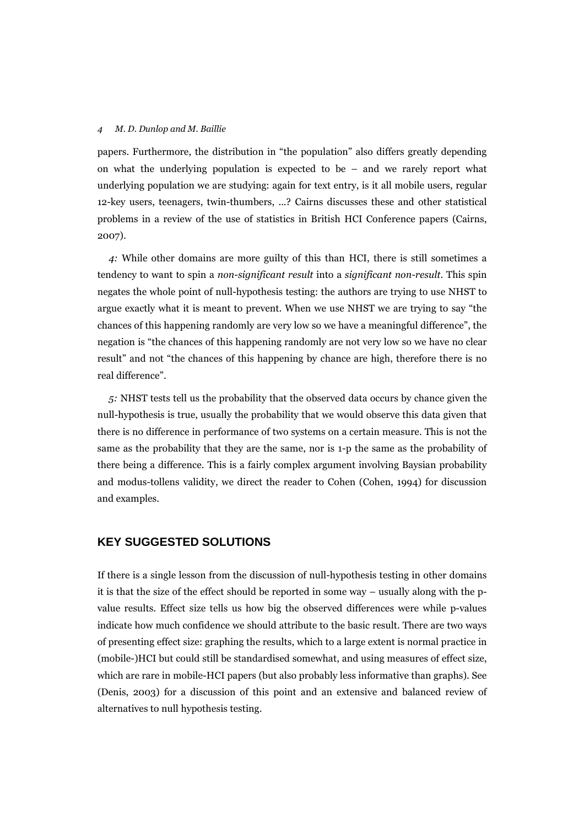papers. Furthermore, the distribution in "the population" also differs greatly depending on what the underlying population is expected to be – and we rarely report what underlying population we are studying: again for text entry, is it all mobile users, regular 12-key users, teenagers, twin-thumbers, ...? Cairns discusses these and other statistical problems in a review of the use of statistics in British HCI Conference papers (Cairns, 2007).

 *4:* While other domains are more guilty of this than HCI, there is still sometimes a tendency to want to spin a *nonsignificant result* into a *significant nonresult*. This spin negates the whole point of null-hypothesis testing: the authors are trying to use NHST to argue exactly what it is meant to prevent. When we use NHST we are trying to say "the chances of this happening randomly are very low so we have a meaningful difference", the negation is "the chances of this happening randomly are not very low so we have no clear result" and not "the chances of this happening by chance are high, therefore there is no real difference".

 *5:* NHST tests tell us the probability that the observed data occurs by chance given the nullhypothesis is true, usually the probability that we would observe this data given that there is no difference in performance of two systems on a certain measure. This is not the same as the probability that they are the same, nor is 1-p the same as the probability of there being a difference. This is a fairly complex argument involving Baysian probability and modus-tollens validity, we direct the reader to Cohen (Cohen, 1994) for discussion and examples.

#### **KEY SUGGESTED SOLUTIONS**

If there is a single lesson from the discussion of null-hypothesis testing in other domains it is that the size of the effect should be reported in some way – usually along with the pvalue results. Effect size tells us how big the observed differences were while p-values indicate how much confidence we should attribute to the basic result. There are two ways of presenting effect size: graphing the results, which to a large extent is normal practice in (mobile)HCI but could still be standardised somewhat, and using measures of effect size, which are rare in mobile-HCI papers (but also probably less informative than graphs). See (Denis, 2003) for a discussion of this point and an extensive and balanced review of alternatives to null hypothesis testing.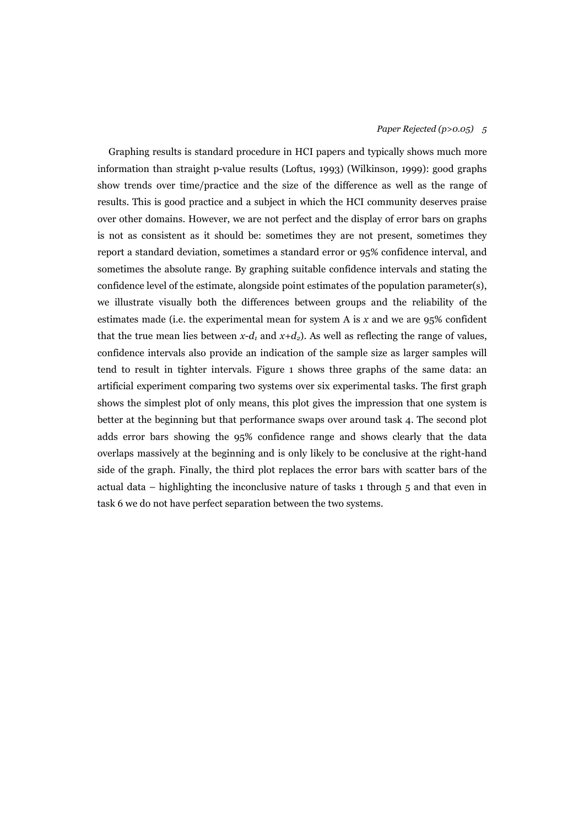Graphing results is standard procedure in HCI papers and typically shows much more information than straight p-value results (Loftus, 1993) (Wilkinson, 1999): good graphs show trends over time/practice and the size of the difference as well as the range of results. This is good practice and a subject in which the HCI community deserves praise over other domains. However, we are not perfect and the display of error bars on graphs is not as consistent as it should be: sometimes they are not present, sometimes they report a standard deviation, sometimes a standard error or 95% confidence interval, and sometimes the absolute range. By graphing suitable confidence intervals and stating the confidence level of the estimate, alongside point estimates of the population parameter(s), we illustrate visually both the differences between groups and the reliability of the estimates made (i.e. the experimental mean for system A is *x* and we are 95% confident that the true mean lies between  $x-d_1$  and  $x+d_2$ ). As well as reflecting the range of values, confidence intervals also provide an indication of the sample size as larger samples will tend to result in tighter intervals. Figure 1 shows three graphs of the same data: an artificial experiment comparing two systems over six experimental tasks. The first graph shows the simplest plot of only means, this plot gives the impression that one system is better at the beginning but that performance swaps over around task 4. The second plot adds error bars showing the 95% confidence range and shows clearly that the data overlaps massively at the beginning and is only likely to be conclusive at the right-hand side of the graph. Finally, the third plot replaces the error bars with scatter bars of the actual data – highlighting the inconclusive nature of tasks 1 through 5 and that even in task 6 we do not have perfect separation between the two systems.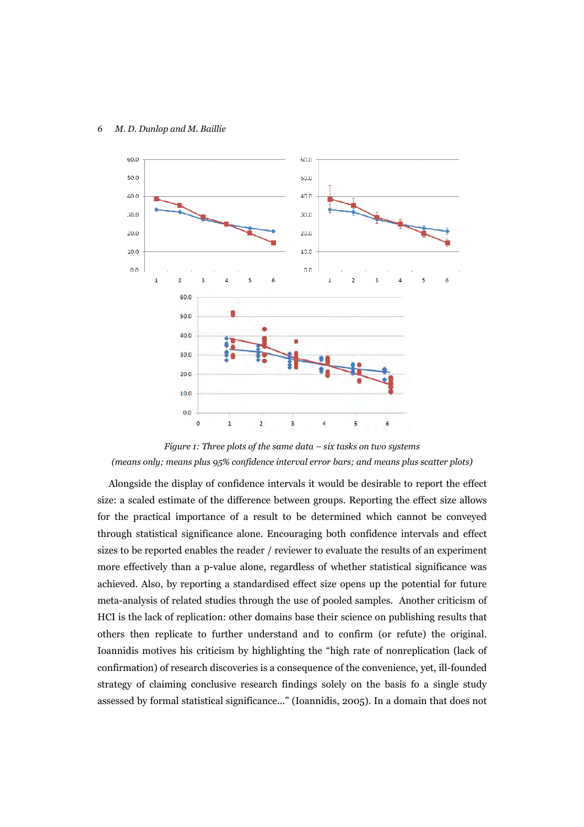

*Figure 1: Three plots of the same data – six tasks on two* (means only; means plus 95% confidence interval error bars; and means plus scatter plots)

size: a scaled estimate of the difference between groups. Reporting the effect size allows for the practical importance of a result to be determined which cannot be conveyed through statistical significance alone. Encouraging both confidence intervals and effect sizes to be reported enables the reader / reviewer to evaluate the results of an experiment achieved. Also, by reporting a standardised effect size opens up the potential for future meta-analysis of related studies through the use of pooled samples. Another criticism of HCI is the lack of replication: other domains base their science on publishing results that others then replicate to further understand and to confirm (or refute) the original. Ioannidis motives his criticism by highlighting the "high rate of nonreplication (lack of iscoveries is a consequence of the convenience, yet, ill strategy of claiming conclusive research findings solely on the basis fo a single study assessed by formal statistical significance..." (Ioannidis, 2005). In a domain that does not Alongside the display of confidence intervals it would be desirable to report the effect more effectively than a p-value alone, regardless of whether statistical significance was HCI is the lack of replication: other domains base their science on publishing resu<br>others then replicate to further understand and to confirm (or refute) the c<br>Ioannidis motives his criticism by highlighting the "high rat confirmation) of research discoveries is a consequence of the convenience, yet, ill-founded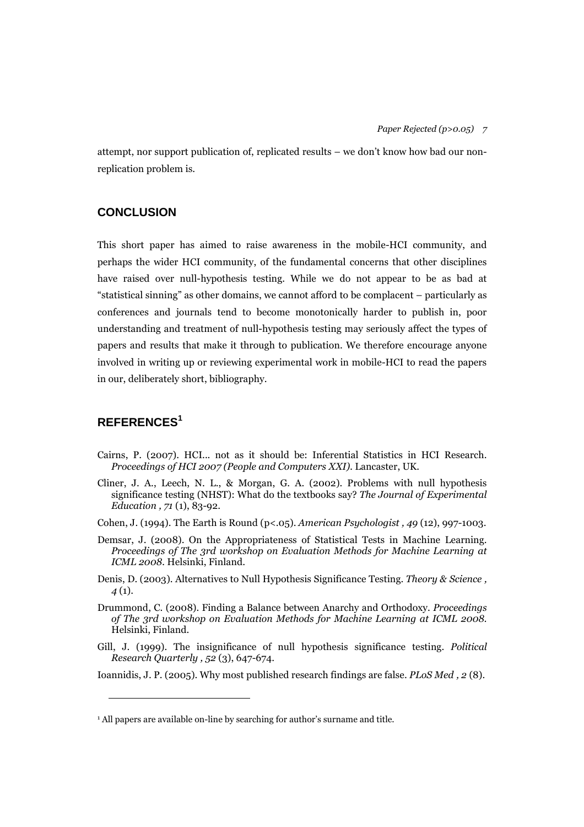attempt, nor support publication of, replicated results – we don't know how bad our non-replication problem is.

### **CONCLUSION**

 This short paper has aimed to raise awareness in the mobileHCI community, and perhaps the wider HCI community, of the fundamental concerns that other disciplines have raised over nullhypothesis testing. While we do not appear to be as bad at "statistical sinning" as other domains, we cannot afford to be complacent – particularly as conferences and journals tend to become monotonically harder to publish in, poor understanding and treatment of null-hypothesis testing may seriously affect the types of papers and results that make it through to publication. We therefore encourage anyone involved in writing up or reviewing experimental work in mobileHCI to read the papers in our, deliberately short, bibliography.

## **REFERENCES<sup>1</sup>**

- Cairns, P. (2007). HCI... not as it should be: Inferential Statistics in HCI Research.  *Proceedings of HCI 2007 (People and Computers XXI).* Lancaster, UK.
- Cliner, J. A., Leech, N. L., & Morgan, G. A. (2002). Problems with null hypothesis  significance testing (NHST): What do the textbooks say? *The Journal of Experimental Education* , *71* (1), 83-92.
- Cohen, J. (1994). The Earth is Round (p<.05). *American Psychologist , 49* (12), 9971003.
- Demsar, J. (2008). On the Appropriateness of Statistical Tests in Machine Learning.  *Proceedings of The 3rd workshop on Evaluation Methods for Machine Learning at ICML 2008.* Helsinki, Finland.
- Denis, D. (2003). Alternatives to Null Hypothesis Significance Testing. *Theory & Science , 4* (1).
- Drummond, C. (2008). Finding a Balance between Anarchy and Orthodoxy. *Proceedings of The 3rd workshop on Evaluation Methods for Machine Learning at ICML 2008.* Helsinki, Finland.
- Gill, J. (1999). The insignificance of null hypothesis significance testing. *Political Research Quarterly , 52* (3), 647674.
- Ioannidis, J. P. (2005). Why most published research findings are false. *PLoS Med , 2* (8).

 $<sup>1</sup>$  All papers are available on-line by searching for author's surname and title.</sup>